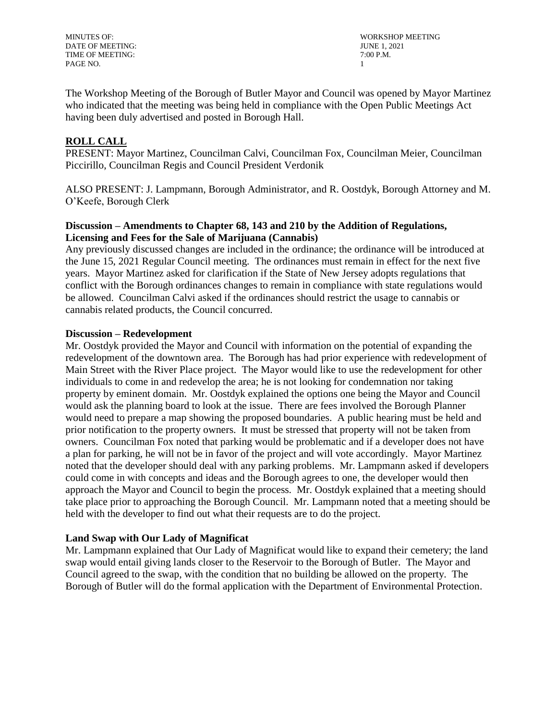DATE OF MEETING: JUNE 1, 2021 TIME OF MEETING:  $7:00$  P.M. PAGE NO. 1

MINUTES OF: WORKSHOP MEETING

The Workshop Meeting of the Borough of Butler Mayor and Council was opened by Mayor Martinez who indicated that the meeting was being held in compliance with the Open Public Meetings Act having been duly advertised and posted in Borough Hall.

# **ROLL CALL**

PRESENT: Mayor Martinez, Councilman Calvi, Councilman Fox, Councilman Meier, Councilman Piccirillo, Councilman Regis and Council President Verdonik

ALSO PRESENT: J. Lampmann, Borough Administrator, and R. Oostdyk, Borough Attorney and M. O'Keefe, Borough Clerk

# **Discussion – Amendments to Chapter 68, 143 and 210 by the Addition of Regulations, Licensing and Fees for the Sale of Marijuana (Cannabis)**

Any previously discussed changes are included in the ordinance; the ordinance will be introduced at the June 15, 2021 Regular Council meeting. The ordinances must remain in effect for the next five years. Mayor Martinez asked for clarification if the State of New Jersey adopts regulations that conflict with the Borough ordinances changes to remain in compliance with state regulations would be allowed. Councilman Calvi asked if the ordinances should restrict the usage to cannabis or cannabis related products, the Council concurred.

### **Discussion – Redevelopment**

Mr. Oostdyk provided the Mayor and Council with information on the potential of expanding the redevelopment of the downtown area. The Borough has had prior experience with redevelopment of Main Street with the River Place project. The Mayor would like to use the redevelopment for other individuals to come in and redevelop the area; he is not looking for condemnation nor taking property by eminent domain. Mr. Oostdyk explained the options one being the Mayor and Council would ask the planning board to look at the issue. There are fees involved the Borough Planner would need to prepare a map showing the proposed boundaries. A public hearing must be held and prior notification to the property owners. It must be stressed that property will not be taken from owners. Councilman Fox noted that parking would be problematic and if a developer does not have a plan for parking, he will not be in favor of the project and will vote accordingly. Mayor Martinez noted that the developer should deal with any parking problems. Mr. Lampmann asked if developers could come in with concepts and ideas and the Borough agrees to one, the developer would then approach the Mayor and Council to begin the process. Mr. Oostdyk explained that a meeting should take place prior to approaching the Borough Council. Mr. Lampmann noted that a meeting should be held with the developer to find out what their requests are to do the project.

## **Land Swap with Our Lady of Magnificat**

Mr. Lampmann explained that Our Lady of Magnificat would like to expand their cemetery; the land swap would entail giving lands closer to the Reservoir to the Borough of Butler. The Mayor and Council agreed to the swap, with the condition that no building be allowed on the property. The Borough of Butler will do the formal application with the Department of Environmental Protection.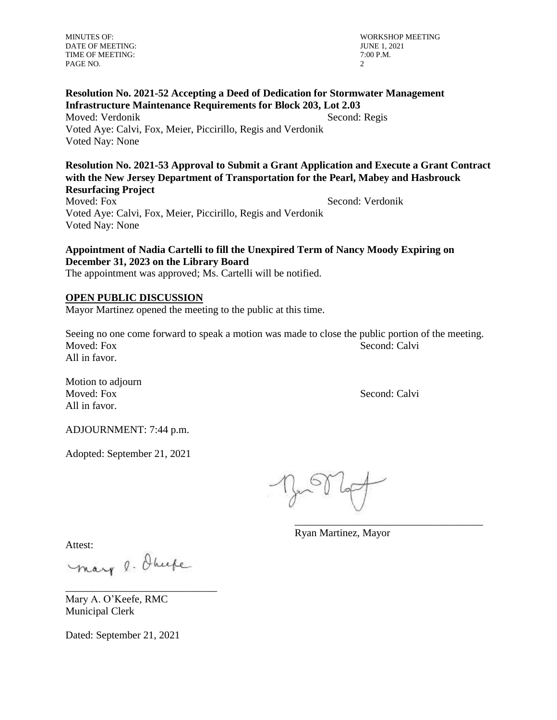DATE OF MEETING: TIME OF MEETING:  $7:00$  P.M. PAGE NO. 2

MINUTES OF: WORKSHOP MEETING<br>DATE OF MEETING: UNITS OF MEETING

## **Resolution No. 2021-52 Accepting a Deed of Dedication for Stormwater Management Infrastructure Maintenance Requirements for Block 203, Lot 2.03**  Moved: Verdonik Second: Regis

Voted Aye: Calvi, Fox, Meier, Piccirillo, Regis and Verdonik Voted Nay: None

**Resolution No. 2021-53 Approval to Submit a Grant Application and Execute a Grant Contract with the New Jersey Department of Transportation for the Pearl, Mabey and Hasbrouck Resurfacing Project** 

Moved: Fox Second: Verdonik Voted Aye: Calvi, Fox, Meier, Piccirillo, Regis and Verdonik Voted Nay: None

# **Appointment of Nadia Cartelli to fill the Unexpired Term of Nancy Moody Expiring on December 31, 2023 on the Library Board**

The appointment was approved; Ms. Cartelli will be notified.

# **OPEN PUBLIC DISCUSSION**

Mayor Martinez opened the meeting to the public at this time.

Seeing no one come forward to speak a motion was made to close the public portion of the meeting. Moved: Fox Second: Calvi All in favor.

Motion to adjourn Moved: Fox Second: Calvi All in favor.

ADJOURNMENT: 7:44 p.m.

Adopted: September 21, 2021

\_\_\_\_\_\_\_\_\_\_\_\_\_\_\_\_\_\_\_\_\_\_\_\_\_\_\_\_\_\_\_\_\_\_\_\_

Ryan Martinez, Mayor

Attest:

mary o. Ohuse

\_\_\_\_\_\_\_\_\_\_\_\_\_\_\_\_\_\_\_\_\_\_\_\_\_\_\_\_\_

Mary A. O'Keefe, RMC Municipal Clerk

Dated: September 21, 2021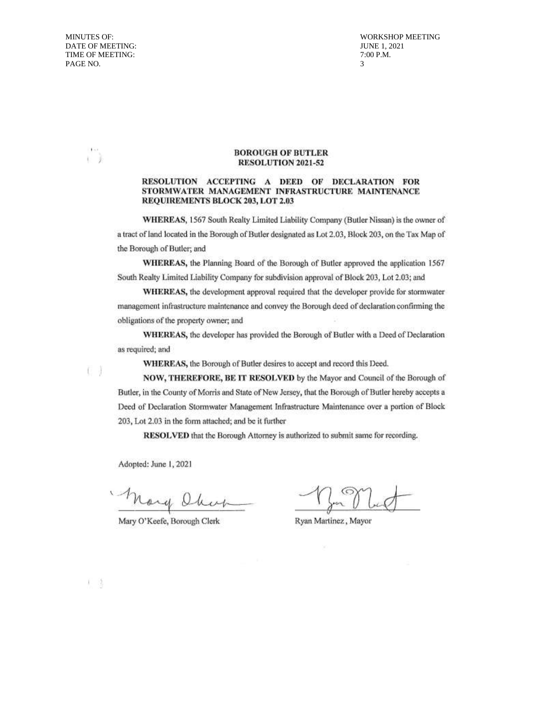**MINUTES OF:** DATE OF MEETING: TIME OF MEETING: PAGE NO.

 $f = 1$ 

r.

**WORKSHOP MEETING JUNE 1, 2021** 7:00 P.M.  $\mathcal{R}$ 

#### **BOROUGH OF BUTLER** RESOLUTION 2021-52

#### RESOLUTION ACCEPTING A DEED OF DECLARATION FOR STORMWATER MANAGEMENT INFRASTRUCTURE MAINTENANCE REQUIREMENTS BLOCK 203, LOT 2.03

WHEREAS, 1567 South Realty Limited Liability Company (Butler Nissan) is the owner of a tract of land located in the Borough of Butler designated as Lot 2.03, Block 203, on the Tax Map of the Borough of Butler; and

WHEREAS, the Planning Board of the Borough of Butler approved the application 1567 South Realty Limited Liability Company for subdivision approval of Block 203, Lot 2.03; and

WHEREAS, the development approval required that the developer provide for stormwater management infrastructure maintenance and convey the Borough deed of declaration confirming the obligations of the property owner; and

WHEREAS, the developer has provided the Borough of Butler with a Deed of Declaration as required; and

WHEREAS, the Borough of Butler desires to accept and record this Deed.

NOW, THEREFORE, BE IT RESOLVED by the Mayor and Council of the Borough of Butler, in the County of Morris and State of New Jersey, that the Borough of Butler hereby accepts a Deed of Declaration Stormwater Management Infrastructure Maintenance over a portion of Block 203, Lot 2.03 in the form attached; and be it further

RESOLVED that the Borough Attorney is authorized to submit same for recording.

Adopted: June 1, 2021

Mary Ober

Mary O'Keefe, Borough Clerk

Ryan Martinez, Mayor

机路

6 J